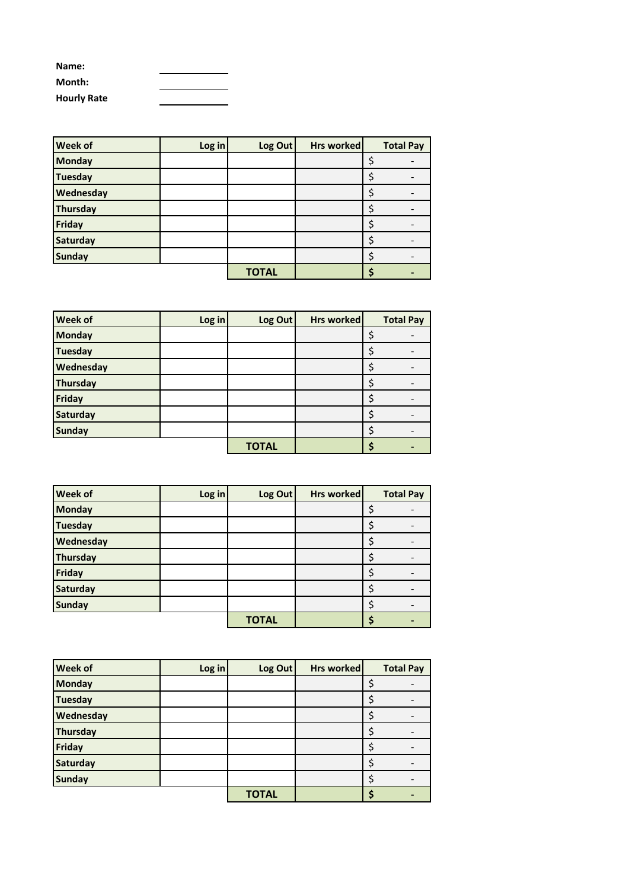| Name:              |  |
|--------------------|--|
| Month:             |  |
| <b>Hourly Rate</b> |  |

| <b>Week of</b> | Log in | Log Out      | Hrs worked | <b>Total Pay</b> |
|----------------|--------|--------------|------------|------------------|
| <b>Monday</b>  |        |              |            |                  |
| <b>Tuesday</b> |        |              |            |                  |
| Wednesday      |        |              |            |                  |
| Thursday       |        |              |            |                  |
| Friday         |        |              |            |                  |
| Saturday       |        |              |            |                  |
| <b>Sunday</b>  |        |              |            |                  |
|                |        | <b>TOTAL</b> |            |                  |

| <b>Week of</b> | Log in | Log Out      | Hrs worked | <b>Total Pay</b> |
|----------------|--------|--------------|------------|------------------|
| <b>Monday</b>  |        |              |            |                  |
| <b>Tuesday</b> |        |              |            |                  |
| Wednesday      |        |              |            |                  |
| Thursday       |        |              |            |                  |
| Friday         |        |              |            |                  |
| Saturday       |        |              |            |                  |
| <b>Sunday</b>  |        |              |            |                  |
|                |        | <b>TOTAL</b> |            |                  |

| <b>Week of</b>  | Log in | Log Out      | Hrs worked | <b>Total Pay</b> |
|-----------------|--------|--------------|------------|------------------|
| <b>Monday</b>   |        |              |            |                  |
| Tuesday         |        |              |            |                  |
| Wednesday       |        |              |            |                  |
| <b>Thursday</b> |        |              |            |                  |
| Friday          |        |              |            |                  |
| Saturday        |        |              |            |                  |
| <b>Sunday</b>   |        |              |            |                  |
|                 |        | <b>TOTAL</b> |            |                  |

| <b>Week of</b>  | Log in | Log Out      | Hrs worked | <b>Total Pay</b> |
|-----------------|--------|--------------|------------|------------------|
| <b>Monday</b>   |        |              |            |                  |
| <b>Tuesday</b>  |        |              |            |                  |
| Wednesday       |        |              |            |                  |
| Thursday        |        |              |            |                  |
| Friday          |        |              |            |                  |
| <b>Saturday</b> |        |              |            |                  |
| <b>Sunday</b>   |        |              |            |                  |
|                 |        | <b>TOTAL</b> |            |                  |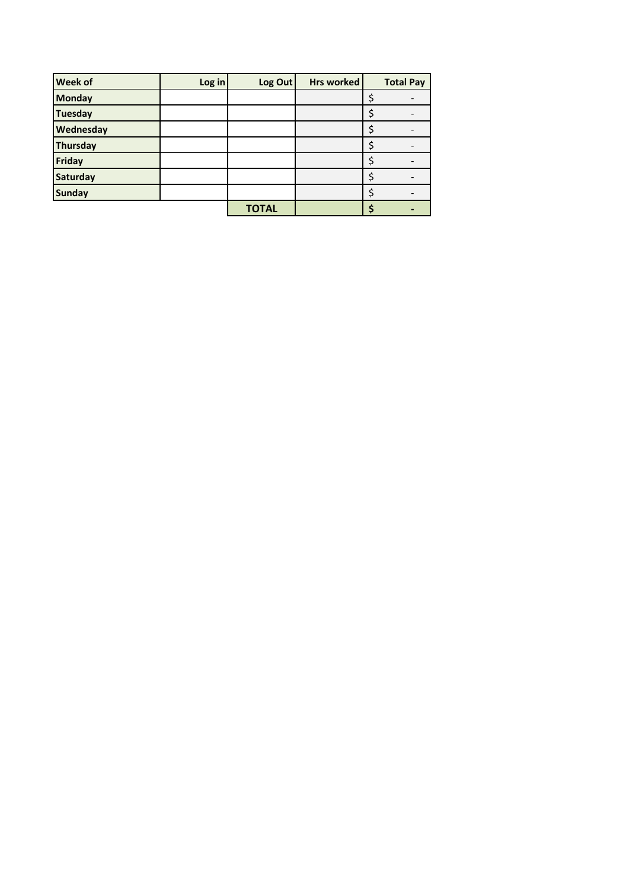| <b>Week of</b>  | Log in | Log Out      | <b>Hrs worked</b> | <b>Total Pay</b> |
|-----------------|--------|--------------|-------------------|------------------|
| <b>Monday</b>   |        |              |                   |                  |
| <b>Tuesday</b>  |        |              |                   |                  |
| Wednesday       |        |              |                   |                  |
| <b>Thursday</b> |        |              |                   |                  |
| Friday          |        |              |                   |                  |
| Saturday        |        |              |                   |                  |
| <b>Sunday</b>   |        |              |                   |                  |
|                 |        | <b>TOTAL</b> |                   |                  |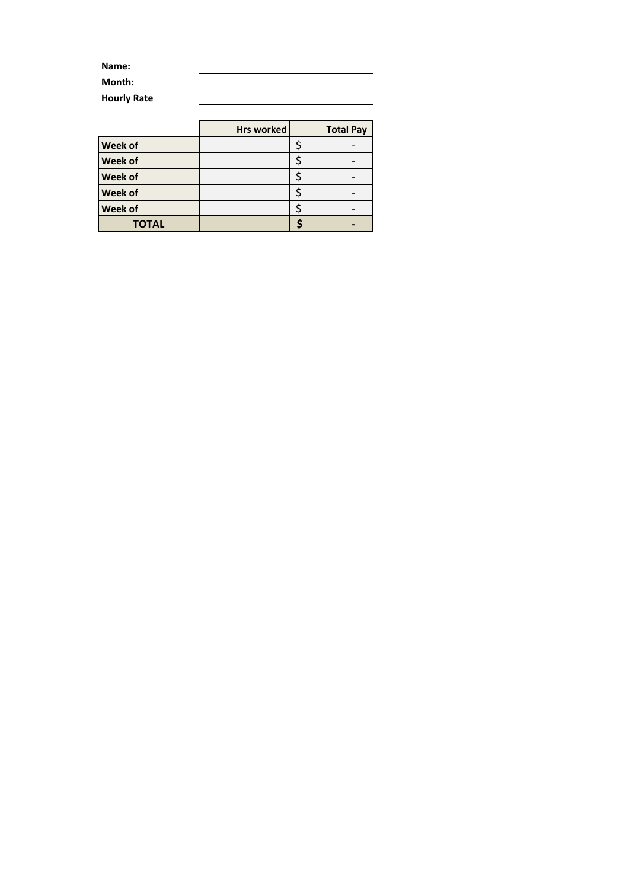| Name:              |  |
|--------------------|--|
| Month:             |  |
| <b>Hourly Rate</b> |  |

|                | <b>Hrs worked</b> | <b>Total Pay</b> |
|----------------|-------------------|------------------|
| <b>Week of</b> |                   |                  |
| <b>Week of</b> |                   |                  |
| <b>Week of</b> |                   |                  |
| <b>Week of</b> |                   |                  |
| <b>Week of</b> |                   |                  |
| <b>TOTAL</b>   |                   |                  |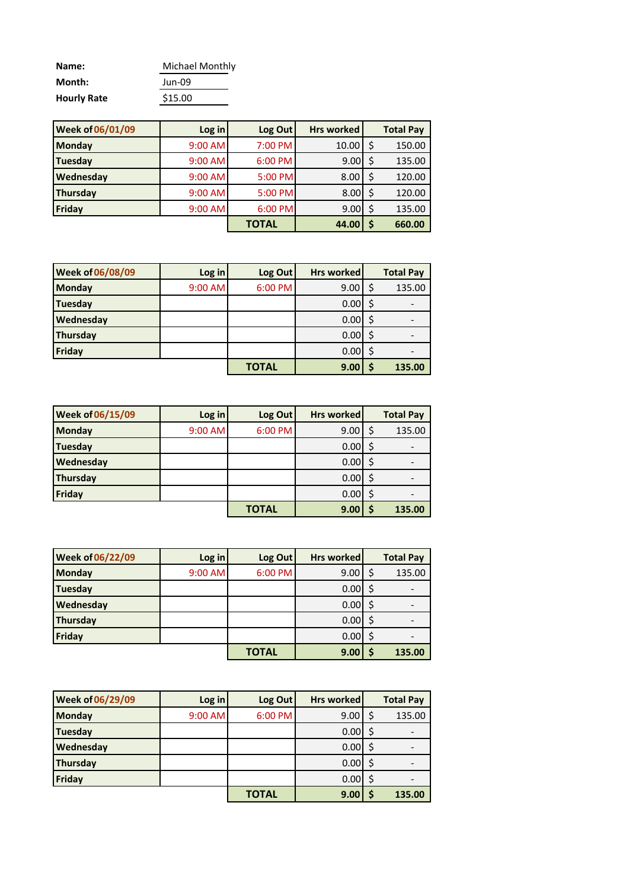| Name:              | Michael Monthly |
|--------------------|-----------------|
| Month:             | Jun-09          |
| <b>Hourly Rate</b> | \$15.00         |

| <b>Week of 06/01/09</b> | Log in    | Log Out      | <b>Hrs worked</b> | <b>Total Pay</b> |
|-------------------------|-----------|--------------|-------------------|------------------|
| <b>Monday</b>           | 9:00 AM   | 7:00 PM      | 10.00             | 150.00           |
| <b>Tuesday</b>          | $9:00$ AM | 6:00 PM      | 9.00 <sub>l</sub> | 135.00           |
| Wednesday               | $9:00$ AM | 5:00 PM      | 8.00              | 120.00           |
| <b>Thursday</b>         | $9:00$ AM | 5:00 PM      | 8.00              | 120.00           |
| Friday                  | 9:00 AM   | 6:00 PM      | 9.00              | 135.00           |
|                         |           | <b>TOTAL</b> | 44.00             | 660.00           |

| <b>Week of 06/08/09</b> | Log in  | Log Out      | <b>Hrs worked</b> | <b>Total Pay</b> |
|-------------------------|---------|--------------|-------------------|------------------|
| <b>Monday</b>           | 9:00 AM | 6:00 PM      | 9.00              | 135.00           |
| <b>Tuesday</b>          |         |              | $0.00$ S          |                  |
| Wednesday               |         |              | $0.00$ \$         |                  |
| <b>Thursday</b>         |         |              | $0.00$ \$         |                  |
| Friday                  |         |              | $0.00$ \$         |                  |
|                         |         | <b>TOTAL</b> | 9.00              | 135.00           |

| <b>Week of 06/15/09</b> | Log in  | Log Out      | <b>Hrs worked</b> | <b>Total Pay</b> |
|-------------------------|---------|--------------|-------------------|------------------|
| <b>Monday</b>           | 9:00 AM | 6:00 PM      | 9.00              | 135.00           |
| <b>Tuesday</b>          |         |              | 0.00              |                  |
| Wednesday               |         |              | $0.00$ \$         |                  |
| <b>Thursday</b>         |         |              | 0.00              |                  |
| Friday                  |         |              | 0.00              |                  |
|                         |         | <b>TOTAL</b> | 9.00              | 135.00           |

| <b>Week of 06/22/09</b> | Log in  | Log Out      | <b>Hrs worked</b> | <b>Total Pay</b> |
|-------------------------|---------|--------------|-------------------|------------------|
| <b>Monday</b>           | 9:00 AM | 6:00 PM      | 9.00              | 135.00           |
| Tuesday                 |         |              | 0.00              |                  |
| Wednesday               |         |              | $0.00$ \$         |                  |
| Thursday                |         |              | 0.00              |                  |
| Friday                  |         |              | 0.00              |                  |
|                         |         | <b>TOTAL</b> | 9.00              | 135.00           |

| <b>Week of 06/29/09</b> | Log in  | Log Out      | <b>Hrs worked</b> | <b>Total Pay</b> |
|-------------------------|---------|--------------|-------------------|------------------|
| <b>Monday</b>           | 9:00 AM | 6:00 PM      | 9.00              | 135.00           |
| <b>Tuesday</b>          |         |              | 0.00              |                  |
| Wednesday               |         |              | 0.00              |                  |
| Thursday                |         |              | 0.00 <sub>l</sub> |                  |
| Friday                  |         |              | 0.00              |                  |
|                         |         | <b>TOTAL</b> | 9.00              | 135.00           |